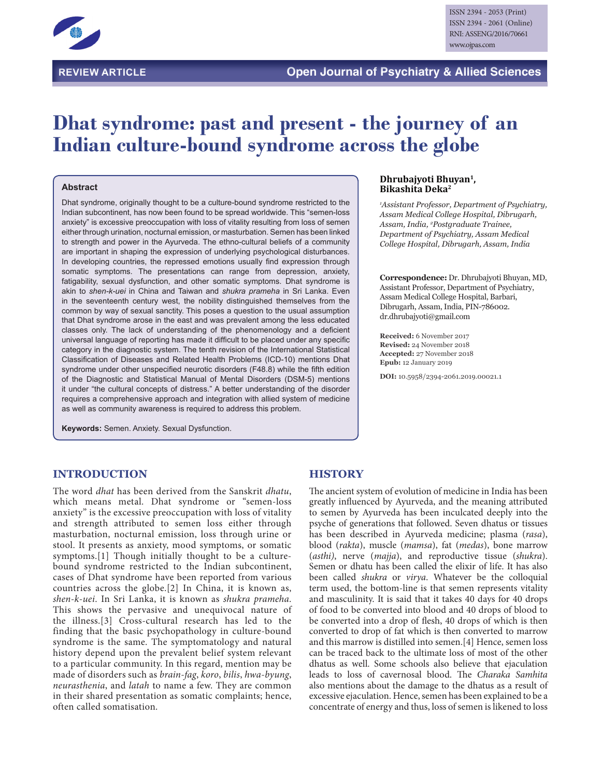

# **Dhat syndrome: past and present - the journey of an Indian culture-bound syndrome across the globe**

#### **Abstract**

Dhat syndrome, originally thought to be a culture-bound syndrome restricted to the Indian subcontinent, has now been found to be spread worldwide. This "semen-loss anxiety" is excessive preoccupation with loss of vitality resulting from loss of semen either through urination, nocturnal emission, or masturbation. Semen has been linked to strength and power in the Ayurveda. The ethno-cultural beliefs of a community are important in shaping the expression of underlying psychological disturbances. In developing countries, the repressed emotions usually find expression through somatic symptoms. The presentations can range from depression, anxiety, fatigability, sexual dysfunction, and other somatic symptoms. Dhat syndrome is akin to *shen-k-uei* in China and Taiwan and *shukra prameha* in Sri Lanka. Even in the seventeenth century west, the nobility distinguished themselves from the common by way of sexual sanctity. This poses a question to the usual assumption that Dhat syndrome arose in the east and was prevalent among the less educated classes only. The lack of understanding of the phenomenology and a deficient universal language of reporting has made it difficult to be placed under any specific category in the diagnostic system. The tenth revision of the International Statistical Classification of Diseases and Related Health Problems (ICD-10) mentions Dhat syndrome under other unspecified neurotic disorders (F48.8) while the fifth edition of the Diagnostic and Statistical Manual of Mental Disorders (DSM-5) mentions it under "the cultural concepts of distress." A better understanding of the disorder requires a comprehensive approach and integration with allied system of medicine as well as community awareness is required to address this problem.

**Keywords:** Semen. Anxiety. Sexual Dysfunction.

#### **Dhrubajyoti Bhuyan1, Bikashita Deka2**

*1 Assistant Professor, Department of Psychiatry, Assam Medical College Hospital, Dibrugarh, Assam, India, 2 Postgraduate Trainee, Department of Psychiatry, Assam Medical College Hospital, Dibrugarh, Assam, India*

**Correspondence:** Dr. Dhrubajyoti Bhuyan, MD, Assistant Professor, Department of Psychiatry, Assam Medical College Hospital, Barbari, Dibrugarh, Assam, India, PIN-786002. dr.dhrubajyoti@gmail.com

**Received:** 6 November 2017 **Revised:** 24 November 2018 **Accepted:** 27 November 2018 **Epub:** 12 January 2019

**DOI:** 10.5958/2394-2061.2019.00021.1

#### **INTRODUCTION**

The word *dhat* has been derived from the Sanskrit *dhatu*, which means metal. Dhat syndrome or "semen-loss anxiety" is the excessive preoccupation with loss of vitality and strength attributed to semen loss either through masturbation, nocturnal emission, loss through urine or stool. It presents as anxiety, mood symptoms, or somatic symptoms.[1] Though initially thought to be a culturebound syndrome restricted to the Indian subcontinent, cases of Dhat syndrome have been reported from various countries across the globe.[2] In China, it is known as, *shen-k-uei*. In Sri Lanka, it is known as *shukra prameha*. This shows the pervasive and unequivocal nature of the illness.[3] Cross-cultural research has led to the finding that the basic psychopathology in culture-bound syndrome is the same. The symptomatology and natural history depend upon the prevalent belief system relevant to a particular community. In this regard, mention may be made of disorders such as *brain-fag*, *koro*, *bilis*, *hwa-byung*, *neurasthenia*, and *latah* to name a few. They are common in their shared presentation as somatic complaints; hence, often called somatisation.

#### **HISTORY**

The ancient system of evolution of medicine in India has been greatly influenced by Ayurveda, and the meaning attributed to semen by Ayurveda has been inculcated deeply into the psyche of generations that followed. Seven dhatus or tissues has been described in Ayurveda medicine; plasma (*rasa*), blood (*rakta*), muscle (*mamsa*), fat (*medas*), bone marrow (*asthi)*, nerve (*majja*), and reproductive tissue (*shukra*). Semen or dhatu has been called the elixir of life. It has also been called *shukra* or *virya*. Whatever be the colloquial term used, the bottom-line is that semen represents vitality and masculinity. It is said that it takes 40 days for 40 drops of food to be converted into blood and 40 drops of blood to be converted into a drop of flesh, 40 drops of which is then converted to drop of fat which is then converted to marrow and this marrow is distilled into semen.[4] Hence, semen loss can be traced back to the ultimate loss of most of the other dhatus as well. Some schools also believe that ejaculation leads to loss of cavernosal blood. The *Charaka Samhita* also mentions about the damage to the dhatus as a result of excessive ejaculation. Hence, semen has been explained to be a concentrate of energy and thus, loss of semen is likened to loss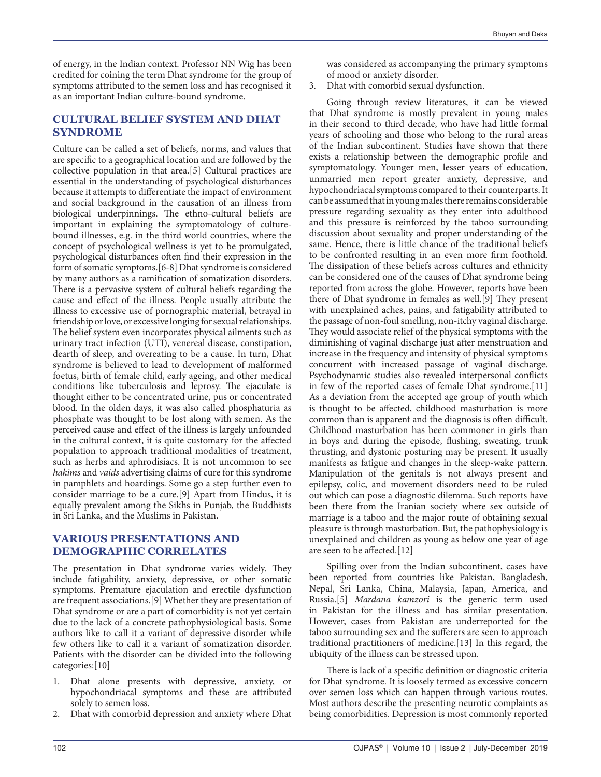of energy, in the Indian context. Professor NN Wig has been credited for coining the term Dhat syndrome for the group of symptoms attributed to the semen loss and has recognised it as an important Indian culture-bound syndrome.

## **CULTURAL BELIEF SYSTEM AND DHAT SYNDROME**

Culture can be called a set of beliefs, norms, and values that are specific to a geographical location and are followed by the collective population in that area.[5] Cultural practices are essential in the understanding of psychological disturbances because it attempts to differentiate the impact of environment and social background in the causation of an illness from biological underpinnings. The ethno-cultural beliefs are important in explaining the symptomatology of culturebound illnesses, e.g. in the third world countries, where the concept of psychological wellness is yet to be promulgated, psychological disturbances often find their expression in the form of somatic symptoms.[6-8] Dhat syndrome is considered by many authors as a ramification of somatization disorders. There is a pervasive system of cultural beliefs regarding the cause and effect of the illness. People usually attribute the illness to excessive use of pornographic material, betrayal in friendship or love, or excessive longing for sexual relationships. The belief system even incorporates physical ailments such as urinary tract infection (UTI), venereal disease, constipation, dearth of sleep, and overeating to be a cause. In turn, Dhat syndrome is believed to lead to development of malformed foetus, birth of female child, early ageing, and other medical conditions like tuberculosis and leprosy. The ejaculate is thought either to be concentrated urine, pus or concentrated blood. In the olden days, it was also called phosphaturia as phosphate was thought to be lost along with semen. As the perceived cause and effect of the illness is largely unfounded in the cultural context, it is quite customary for the affected population to approach traditional modalities of treatment, such as herbs and aphrodisiacs. It is not uncommon to see *hakims* and *vaids* advertising claims of cure for this syndrome in pamphlets and hoardings. Some go a step further even to consider marriage to be a cure.[9] Apart from Hindus, it is equally prevalent among the Sikhs in Punjab, the Buddhists in Sri Lanka, and the Muslims in Pakistan.

## **VARIOUS PRESENTATIONS AND DEMOGRAPHIC CORRELATES**

The presentation in Dhat syndrome varies widely. They include fatigability, anxiety, depressive, or other somatic symptoms. Premature ejaculation and erectile dysfunction are frequent associations.[9] Whether they are presentation of Dhat syndrome or are a part of comorbidity is not yet certain due to the lack of a concrete pathophysiological basis. Some authors like to call it a variant of depressive disorder while few others like to call it a variant of somatization disorder. Patients with the disorder can be divided into the following categories:[10]

- 1. Dhat alone presents with depressive, anxiety, or hypochondriacal symptoms and these are attributed solely to semen loss.
- 2. Dhat with comorbid depression and anxiety where Dhat

was considered as accompanying the primary symptoms of mood or anxiety disorder.

3. Dhat with comorbid sexual dysfunction.

Going through review literatures, it can be viewed that Dhat syndrome is mostly prevalent in young males in their second to third decade, who have had little formal years of schooling and those who belong to the rural areas of the Indian subcontinent. Studies have shown that there exists a relationship between the demographic profile and symptomatology. Younger men, lesser years of education, unmarried men report greater anxiety, depressive, and hypochondriacal symptoms compared to their counterparts. It can be assumed that in young males there remains considerable pressure regarding sexuality as they enter into adulthood and this pressure is reinforced by the taboo surrounding discussion about sexuality and proper understanding of the same. Hence, there is little chance of the traditional beliefs to be confronted resulting in an even more firm foothold. The dissipation of these beliefs across cultures and ethnicity can be considered one of the causes of Dhat syndrome being reported from across the globe. However, reports have been there of Dhat syndrome in females as well.[9] They present with unexplained aches, pains, and fatigability attributed to the passage of non-foul smelling, non-itchy vaginal discharge. They would associate relief of the physical symptoms with the diminishing of vaginal discharge just after menstruation and increase in the frequency and intensity of physical symptoms concurrent with increased passage of vaginal discharge. Psychodynamic studies also revealed interpersonal conflicts in few of the reported cases of female Dhat syndrome.[11] As a deviation from the accepted age group of youth which is thought to be affected, childhood masturbation is more common than is apparent and the diagnosis is often difficult. Childhood masturbation has been commoner in girls than in boys and during the episode, flushing, sweating, trunk thrusting, and dystonic posturing may be present. It usually manifests as fatigue and changes in the sleep-wake pattern. Manipulation of the genitals is not always present and epilepsy, colic, and movement disorders need to be ruled out which can pose a diagnostic dilemma. Such reports have been there from the Iranian society where sex outside of marriage is a taboo and the major route of obtaining sexual pleasure is through masturbation. But, the pathophysiology is unexplained and children as young as below one year of age are seen to be affected.[12]

Spilling over from the Indian subcontinent, cases have been reported from countries like Pakistan, Bangladesh, Nepal, Sri Lanka, China, Malaysia, Japan, America, and Russia.[5] *Mardana kamzori* is the generic term used in Pakistan for the illness and has similar presentation. However, cases from Pakistan are underreported for the taboo surrounding sex and the sufferers are seen to approach traditional practitioners of medicine.[13] In this regard, the ubiquity of the illness can be stressed upon.

There is lack of a specific definition or diagnostic criteria for Dhat syndrome. It is loosely termed as excessive concern over semen loss which can happen through various routes. Most authors describe the presenting neurotic complaints as being comorbidities. Depression is most commonly reported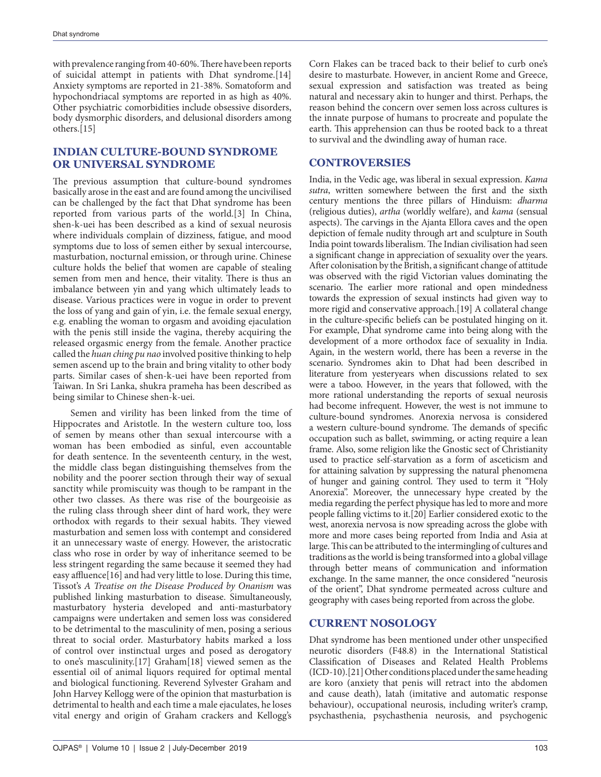with prevalence ranging from 40-60%. There have been reports of suicidal attempt in patients with Dhat syndrome.[14] Anxiety symptoms are reported in 21-38%. Somatoform and hypochondriacal symptoms are reported in as high as 40%. Other psychiatric comorbidities include obsessive disorders, body dysmorphic disorders, and delusional disorders among others.[15]

## **INDIAN CULTURE-BOUND SYNDROME OR UNIVERSAL SYNDROME**

The previous assumption that culture-bound syndromes basically arose in the east and are found among the uncivilised can be challenged by the fact that Dhat syndrome has been reported from various parts of the world.[3] In China, shen-k-uei has been described as a kind of sexual neurosis where individuals complain of dizziness, fatigue, and mood symptoms due to loss of semen either by sexual intercourse, masturbation, nocturnal emission, or through urine. Chinese culture holds the belief that women are capable of stealing semen from men and hence, their vitality. There is thus an imbalance between yin and yang which ultimately leads to disease. Various practices were in vogue in order to prevent the loss of yang and gain of yin, i.e. the female sexual energy, e.g. enabling the woman to orgasm and avoiding ejaculation with the penis still inside the vagina, thereby acquiring the released orgasmic energy from the female. Another practice called the *huan ching pu nao* involved positive thinking to help semen ascend up to the brain and bring vitality to other body parts. Similar cases of shen-k-uei have been reported from Taiwan. In Sri Lanka, shukra prameha has been described as being similar to Chinese shen-k-uei.

Semen and virility has been linked from the time of Hippocrates and Aristotle. In the western culture too, loss of semen by means other than sexual intercourse with a woman has been embodied as sinful, even accountable for death sentence. In the seventeenth century, in the west, the middle class began distinguishing themselves from the nobility and the poorer section through their way of sexual sanctity while promiscuity was though to be rampant in the other two classes. As there was rise of the bourgeoisie as the ruling class through sheer dint of hard work, they were orthodox with regards to their sexual habits. They viewed masturbation and semen loss with contempt and considered it an unnecessary waste of energy. However, the aristocratic class who rose in order by way of inheritance seemed to be less stringent regarding the same because it seemed they had easy affluence[16] and had very little to lose. During this time, Tissot's *A Treatise on the Disease Produced by Onanism* was published linking masturbation to disease. Simultaneously, masturbatory hysteria developed and anti-masturbatory campaigns were undertaken and semen loss was considered to be detrimental to the masculinity of men, posing a serious threat to social order. Masturbatory habits marked a loss of control over instinctual urges and posed as derogatory to one's masculinity.[17] Graham[18] viewed semen as the essential oil of animal liquors required for optimal mental and biological functioning. Reverend Sylvester Graham and John Harvey Kellogg were of the opinion that masturbation is detrimental to health and each time a male ejaculates, he loses vital energy and origin of Graham crackers and Kellogg's

Corn Flakes can be traced back to their belief to curb one's desire to masturbate. However, in ancient Rome and Greece, sexual expression and satisfaction was treated as being natural and necessary akin to hunger and thirst. Perhaps, the reason behind the concern over semen loss across cultures is the innate purpose of humans to procreate and populate the earth. This apprehension can thus be rooted back to a threat to survival and the dwindling away of human race.

## **CONTROVERSIES**

India, in the Vedic age, was liberal in sexual expression. *Kama sutra*, written somewhere between the first and the sixth century mentions the three pillars of Hinduism: *dharma* (religious duties), *artha* (worldly welfare), and *kama* (sensual aspects). The carvings in the Ajanta Ellora caves and the open depiction of female nudity through art and sculpture in South India point towards liberalism. The Indian civilisation had seen a significant change in appreciation of sexuality over the years. After colonisation by the British, a significant change of attitude was observed with the rigid Victorian values dominating the scenario. The earlier more rational and open mindedness towards the expression of sexual instincts had given way to more rigid and conservative approach.[19] A collateral change in the culture-specific beliefs can be postulated hinging on it. For example, Dhat syndrome came into being along with the development of a more orthodox face of sexuality in India. Again, in the western world, there has been a reverse in the scenario. Syndromes akin to Dhat had been described in literature from yesteryears when discussions related to sex were a taboo. However, in the years that followed, with the more rational understanding the reports of sexual neurosis had become infrequent. However, the west is not immune to culture-bound syndromes. Anorexia nervosa is considered a western culture-bound syndrome. The demands of specific occupation such as ballet, swimming, or acting require a lean frame. Also, some religion like the Gnostic sect of Christianity used to practice self-starvation as a form of asceticism and for attaining salvation by suppressing the natural phenomena of hunger and gaining control. They used to term it "Holy Anorexia". Moreover, the unnecessary hype created by the media regarding the perfect physique has led to more and more people falling victims to it.[20] Earlier considered exotic to the west, anorexia nervosa is now spreading across the globe with more and more cases being reported from India and Asia at large. This can be attributed to the intermingling of cultures and traditions as the world is being transformed into a global village through better means of communication and information exchange. In the same manner, the once considered "neurosis of the orient", Dhat syndrome permeated across culture and geography with cases being reported from across the globe.

## **CURRENT NOSOLOGY**

Dhat syndrome has been mentioned under other unspecified neurotic disorders (F48.8) in the International Statistical Classification of Diseases and Related Health Problems (ICD-10).[21] Other conditions placed under the same heading are koro (anxiety that penis will retract into the abdomen and cause death), latah (imitative and automatic response behaviour), occupational neurosis, including writer's cramp, psychasthenia, psychasthenia neurosis, and psychogenic